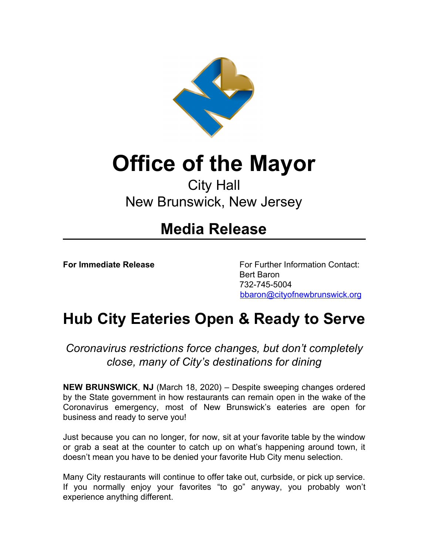

## **Office of the Mayor**

## City Hall New Brunswick, New Jersey

## **Media Release**

**For Immediate Release** For Further Information Contact: Bert Baron 732-745-5004 [bbaron@cityofnewbrunswick.org](mailto:bbaron@cityofnewbrunswick.org)

## **Hub City Eateries Open & Ready to Serve**

*Coronavirus restrictions force changes, but don't completely close, many of City's destinations for dining*

**NEW BRUNSWICK**, **NJ** (March 18, 2020) – Despite sweeping changes ordered by the State government in how restaurants can remain open in the wake of the Coronavirus emergency, most of New Brunswick's eateries are open for business and ready to serve you!

Just because you can no longer, for now, sit at your favorite table by the window or grab a seat at the counter to catch up on what's happening around town, it doesn't mean you have to be denied your favorite Hub City menu selection.

Many City restaurants will continue to offer take out, curbside, or pick up service. If you normally enjoy your favorites "to go" anyway, you probably won't experience anything different.